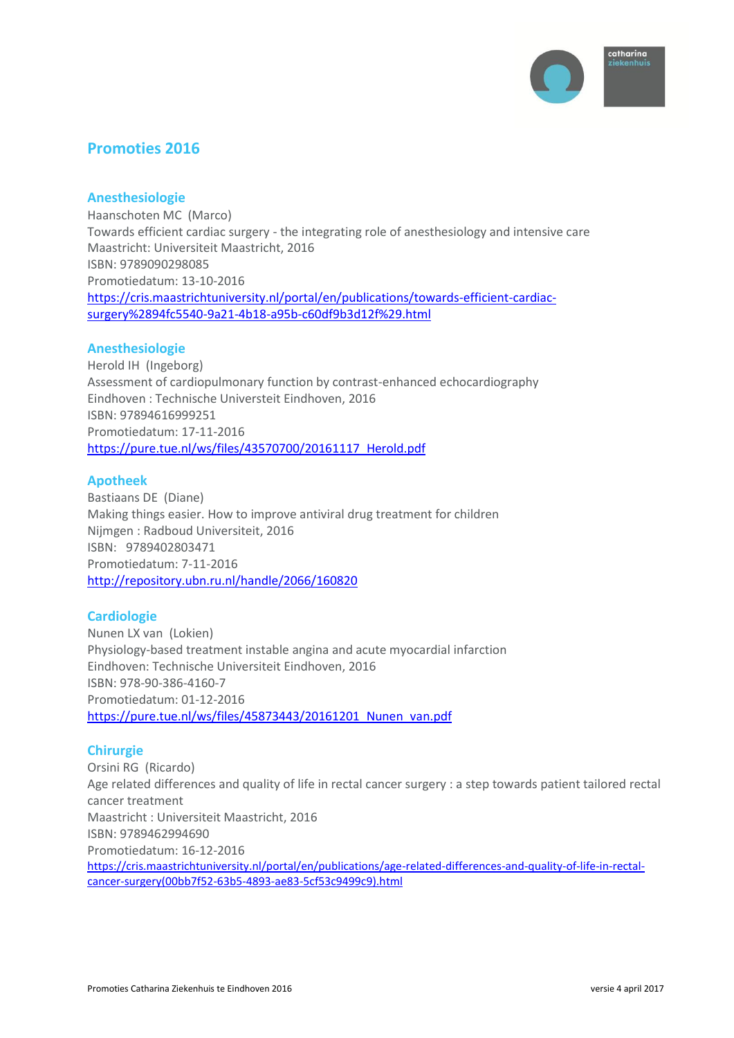

# **Promoties 2016**

# **Anesthesiologie**

Haanschoten MC (Marco) Towards efficient cardiac surgery - the integrating role of anesthesiology and intensive care Maastricht: Universiteit Maastricht, 2016 ISBN: 9789090298085 Promotiedatum: 13-10-2016 [https://cris.maastrichtuniversity.nl/portal/en/publications/towards-efficient-cardiac](https://cris.maastrichtuniversity.nl/portal/en/publications/towards-efficient-cardiac-surgery%2894fc5540-9a21-4b18-a95b-c60df9b3d12f%29.html)[surgery%2894fc5540-9a21-4b18-a95b-c60df9b3d12f%29.html](https://cris.maastrichtuniversity.nl/portal/en/publications/towards-efficient-cardiac-surgery%2894fc5540-9a21-4b18-a95b-c60df9b3d12f%29.html)

# **Anesthesiologie**

Herold IH (Ingeborg) Assessment of cardiopulmonary function by contrast-enhanced echocardiography Eindhoven : Technische Universteit Eindhoven, 2016 ISBN: 97894616999251 Promotiedatum: 17-11-2016 [https://pure.tue.nl/ws/files/43570700/20161117\\_Herold.pdf](https://pure.tue.nl/ws/files/43570700/20161117_Herold.pdf)

# **Apotheek**

Bastiaans DE (Diane) Making things easier. How to improve antiviral drug treatment for children Nijmgen : Radboud Universiteit, 2016 ISBN: 9789402803471 Promotiedatum: 7-11-2016 <http://repository.ubn.ru.nl/handle/2066/160820>

# **Cardiologie**

Nunen LX van (Lokien) Physiology-based treatment instable angina and acute myocardial infarction Eindhoven: Technische Universiteit Eindhoven, 2016 ISBN: 978-90-386-4160-7 Promotiedatum: 01-12-2016 https://pure.tue.nl/ws/files/45873443/20161201 Nunen\_van.pdf

### **Chirurgie**

Orsini RG (Ricardo) Age related differences and quality of life in rectal cancer surgery : a step towards patient tailored rectal cancer treatment Maastricht : Universiteit Maastricht, 2016 ISBN: 9789462994690 Promotiedatum: 16-12-2016 [https://cris.maastrichtuniversity.nl/portal/en/publications/age-related-differences-and-quality-of-life-in-rectal](https://cris.maastrichtuniversity.nl/portal/en/publications/age-related-differences-and-quality-of-life-in-rectal-cancer-surgery(00bb7f52-63b5-4893-ae83-5cf53c9499c9).html)[cancer-surgery\(00bb7f52-63b5-4893-ae83-5cf53c9499c9\).html](https://cris.maastrichtuniversity.nl/portal/en/publications/age-related-differences-and-quality-of-life-in-rectal-cancer-surgery(00bb7f52-63b5-4893-ae83-5cf53c9499c9).html)